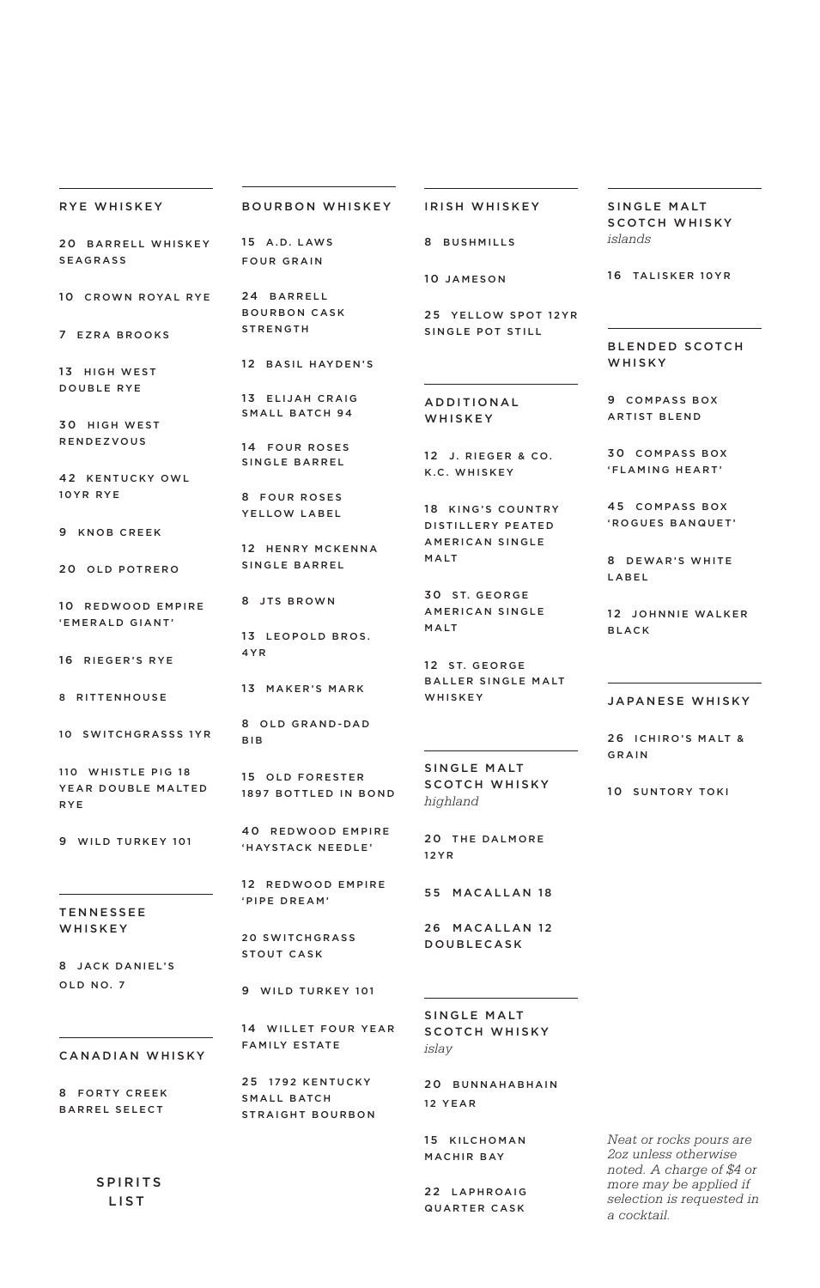| RYE WHISKEY                              | <b>BOURBON WHISKEY</b>                   | IRISH WHISKEY                          | SINGLE MALT<br><b>SCOTCH WHISKY</b>      |
|------------------------------------------|------------------------------------------|----------------------------------------|------------------------------------------|
| 20 BARRELL WHISKEY<br><b>SEAGRASS</b>    | 15 A.D. LAWS<br><b>FOUR GRAIN</b>        | 8 BUSHMILLS                            | islands                                  |
|                                          |                                          | 10 JAMESON                             | 16 TALISKER 10YR                         |
| 10 CROWN ROYAL RYE                       | 24 BARRELL<br><b>BOURBON CASK</b>        | 25 YELLOW SPOT 12YR                    |                                          |
| 7 EZRA BROOKS                            | <b>STRENGTH</b>                          | SINGLE POT STILL                       | <b>BLENDED SCOTCH</b>                    |
| 13 HIGH WEST                             | 12 BASIL HAYDEN'S                        |                                        | <b>WHISKY</b>                            |
| <b>DOUBLE RYE</b>                        | 13 ELIJAH CRAIG<br><b>SMALL BATCH 94</b> | ADDITIONAL                             | 9 COMPASS BOX                            |
| 30 HIGH WEST<br><b>RENDEZVOUS</b>        |                                          | WHISKEY                                | <b>ARTIST BLEND</b>                      |
|                                          | 14 FOUR ROSES<br>SINGLE BARREL           | 12 J. RIEGER & CO.<br>K.C. WHISKEY     | <b>30 COMPASS BOX</b><br>'FLAMING HEART' |
| 42 KENTUCKY OWL<br>10YR RYE              | 8 FOUR ROSES                             |                                        |                                          |
| 9 KNOB CREEK                             | YELLOW LABEL                             | 18 KING'S COUNTRY<br>DISTILLERY PEATED | 45 COMPASS BOX<br>'ROGUES BANQUET'       |
| 20 OLD POTRERO                           | 12 HENRY MCKENNA<br>SINGLE BARREL        | AMERICAN SINGLE<br>MALT                | 8 DEWAR'S WHITE<br>LABEL                 |
| 10 REDWOOD EMPIRE                        | 8 JTS BROWN                              | 30 ST. GEORGE<br>AMERICAN SINGLE       | 12 JOHNNIE WALKER                        |
| 'EMERALD GIANT'                          | 13 LEOPOLD BROS.                         | MALT                                   | <b>BLACK</b>                             |
| 16 RIEGER'S RYE                          | 4 Y R                                    | 12 ST. GEORGE                          |                                          |
| 8 RITTENHOUSE                            | 13 MAKER'S MARK                          | <b>BALLER SINGLE MALT</b><br>WHISKEY   | JAPANESE WHISKY                          |
| 10 SWITCHGRASSS 1YR                      | 8 OLD GRAND-DAD<br><b>BIB</b>            |                                        | 26 ICHIRO'S MALT &                       |
| 110 WHISTLE PIG 18<br>YEAR DOUBLE MALTED | 15 OLD FORESTER<br>1897 ROTTLED IN ROND  | SINGLE MALT<br><b>SCOTCH WHISKY</b>    | GRAIN<br>10 SUNTORY TOKI                 |

RYE

9 WILD TURKEY 101

T E N N E S S E E W H I S K E Y

8 JACK DANIEL'S OLD NO. 7

8 FORTY CREEK BARREL SELECT

> SPIRITS LIST

9 WILD TURKEY 101

20 SWITCHGRASS STOUT CASK

1897 BOTTLED IN BOND

40 REDWOOD EMPIRE 'HAYSTACK NEEDLE'

12 REDWOOD EMPIRE

'PIPE DREAM'

CANADIAN WHISKY 14 WILLET FOUR YEAR FAMILY ESTATE

> 25 1792 KENTUCKY SMALL BATCH STRAIGHT BOURBON

# SCOTCH WHISKY *islay*

20 BUNNAHABHAIN 12 YEAR

15 KILCHOMAN MACHIR BAY

22 LAPHROAIG QUARTER CASK

*Neat or rocks pours are 2oz unless otherwise noted. A charge of \$4 or a cocktail.* 

SCOTCH WHISKY *highland* 

20 THE DALMORE 1 2 Y R

55 MACALLAN 18

26 MACALLAN 12 DOUBLECASK

SINGLE MALT

*more may be applied if selection is requested in*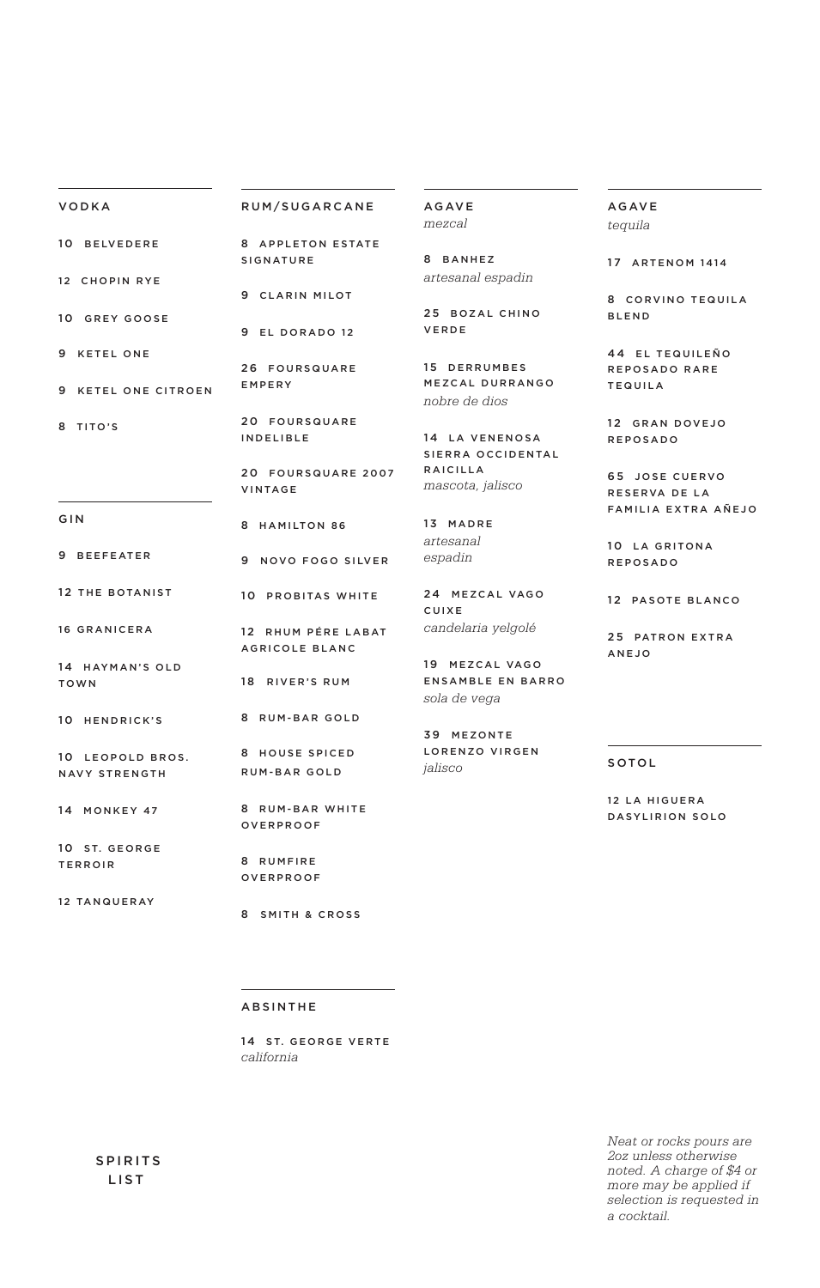## VODKA

# RUM/SUGARCANE

10 BELVEDERE 12 CHOPIN RYE 10 GREY GOOSE 9 KETEL ONE 8 APPLETON ESTATE SIGNATURE 9 CLARIN MILOT 9 EL DORADO 12

9 KETEL ONE CITROEN

8 TITO'S

G I N

9 BEEFEATER

16 GRANICERA

TOWN

14 HAYMAN'S OLD

10 HENDRICK'S

NAVY STRENGTH

14 MONKEY 47

10 ST. GEORGE TERROIR

12 TANQUERAY

26 FOURSQUARE EMPERY

> 20 FOURSQUARE INDELIBLE

20 FOURSQUARE 2007 VINTAGE

- 8 HAMILTON 86
- 9 NOVO FOGO SILVER

12 THE BOTANIST 10 PROBITAS WHITE

> 12 RHUM PÉRE LABAT AGRICOLE BLANC

18 RIVER'S RUM

8 RUM-BAR GOLD

10 LEOPOLD BROS. 8 HOUSE SPICED RUM-BAR GOLD

> 8 RUM-BAR WHITE OVERPROOF

> > 8 RUMFIRE OVERPROOF

8 SMITH & CROSS

AGAVE *mezcal*

8 BANHEZ *artesanal espadin*

25 BOZAL CHINO VERDE

15 DERRUMBES MEZCAL DURRANGO *nobre de dios*

14 LA VENENOSA S I E R R A O C C I D E N TA L RAICILLA *mascota, jalisco*

13 MADRE *artesanal espadin*

24 MEZCAL VAGO C U I X E *candelaria yelgolé*

19 MEZCAL VAGO ENSAMBLE EN BARRO *sola de vega*

39 MEZONTE LORENZO VIRGEN *jalisco*

AGAVE *tequila*

17 ARTENOM 1414

8 CORVINO TEQUILA BLEND

44 EL TEQUILEÑO REPOSADO RARE TEQUILA

12 GRAN DOVEJO REPOSADO

65 JOSE CUERVO RESERVA DE LA FAMILIA EXTRA AÑEJO

10 LA GRITONA R E P O S A D O

12 PASOTE BLANCO

25 PATRON EXTRA ANEJO

# SOTOL

12 LA HIGUERA DASYLIRION SOLO

# ABSINTHE

14 ST. GEORGE VERTE *california* 

> *Neat or rocks pours are 2oz unless otherwise noted. A charge of \$4 or more may be applied if selection is requested in a cocktail.*

 SPIRITS LIST